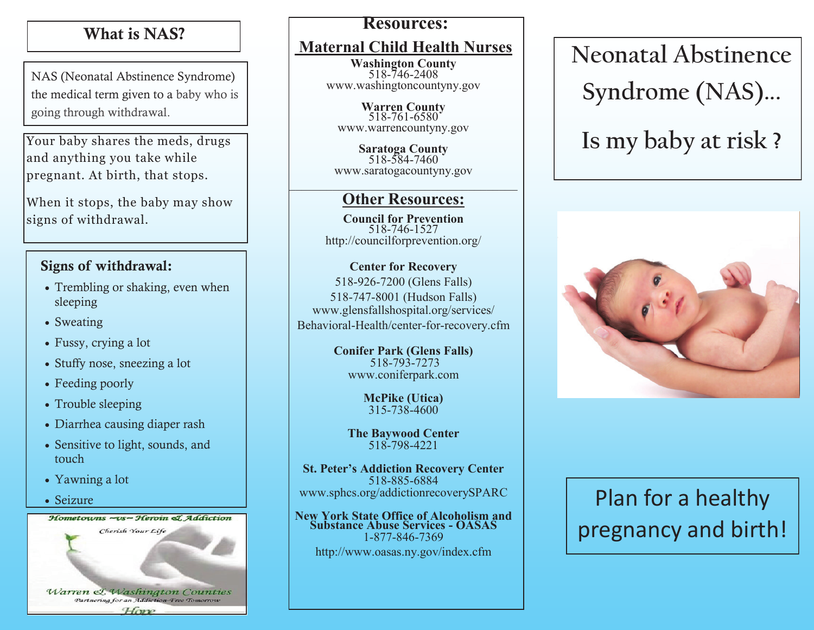### What is NAS?

NAS (Neonatal Abstinence Syndrome) the medical term given to a baby who is start prenatal care prenatal end of the prenatal care prenatal end of  $\boldsymbol{\mu}$  and  $\boldsymbol{\mu}$  and  $\boldsymbol{\mu}$  are presented in the prenatal end of  $\boldsymbol{\mu}$  and  $\boldsymbol{\mu}$  are presented in the presented in the presented in the pre

Your baby shares the meds, drugs and anything you take while pregnant. At birth, that stops.

When it stops, the baby may show signs of withdrawal. your doctor or over - the -

counter, street drugs, street drugs, street drugs, street drugs, street drugs, street drugs, street drugs, str

#### Signs of withdrawal. Signs of withdrawal:

- $s$ leeping • Trembling or shaking, even when
	- Sweating pregnancy can be a pregnancy can be a pregnancy can be a pregnancy can be a pregnancy can be a pregnancy can be a pregnancy can be a pregnancy can be a pregnancy can be a pregnancy can be a pregnancy can be a pr  $\bullet$  bwcause the baby to be borne borne borne baby to be borne borne borne baby to be borne borne borne borne borne borne borne borne borne borne borne borne borne borne borne borne borne borne borne borne borne borne bor
	- $\bullet$  Fussy, crying a lot
	- Stuffy nose, sneezing a lot
- If you are in recovery the Feeding poorly
	- Trouble sleeping
	- $\mathbb{R}^n$  as a strong  $\mathbb{R}^n$ • Diarrhea causing diaper rash
	- Sensitive to light, sounds, and *COUCH*
- If you are a lot  $\blacksquare$ 
	- opiates or other drugs, Seizure

**Warren & Washington Counties Partnering for an Addiction-Free Tomorrow**<br>|-<br>| Have Hometowns ~vs~ Heroin & Addiction You **can** do this!

### **Resources:**

### **Maternal Child Health Nurses**

**Washington County**<br>518-746-2408 www.washingtoncountyny.gov

**Warren County**  $\mathcal{W}$   $\mathcal{W}$   $\mathcal{W}$   $\mathcal{W}$  and will we have  $\mathcal{W}$  and  $\mathcal{W}$   $\mathcal{W}$ 518-761-6580 www.warrencountyny.gov

 $518-584-7460$ www.saratogacountyny.gov **Saratoga County**   $\mathcal{L}_\text{max}$  , and the set of the set of the set of the set of the set of the set of the set of the set of the set of the set of the set of the set of the set of the set of the set of the set of the set of the set of the

## **Other Resources:**

medications to help lower withdrawal 518-746-1527 http://councilforprevention.org/ **Council for Prevention**

### **Center for Recovery**

 $\int$  518-926-7200 (Glens Falls) 518-747-8001 (Hudson Falls) www.gichstanshoppidi.org/services/ www.glensfallshospital.org/services/

**Conifer Park (Glens Falls)** your baby's needs.<br>Www.coniferpark.com 518-793-7273

**If you go home before the baby, visit and baby, visit and baby, visit and baby, visit and baby, visit and baby, visit and baby, visit and baby, visit and baby, visit and baby, visit and baby, visit and baby, visit and bab** care for your baby while it is still in the still in the still in the still in the still in the still in the s 315-738-4600

**The Baywood Center** 518-798-4221

**St. Peter's Addiction Recovery Center**  518-885-6884 www.sphcs.org/addictionrecoverySPARC

**New York State Office of Alcoholism and Substance Abuse Services - OASAS**  1-877-846-7369 http://www.oasas.ny.gov/index.cfm

 $\overline{\phantom{a}}$ **Neonatal Abstinence** withdrawal. **Syndrome (NAS)...** 

# Is my baby at risk ?



## **Plan for a healthy** programacy and birth pregnancy and birth!